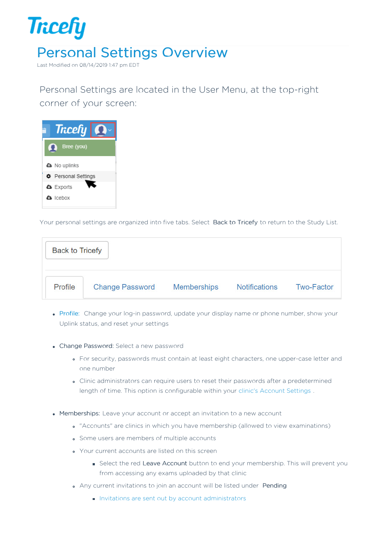

Last Modified on 08/14/2019 1:47 pm EDT

Personal Settings are located in the User Menu, at the top-right corner of your screen:



Your personal settings are organized into five tabs. Select Back to Tricefy to return to the Study List.

| <b>Back to Tricefy</b> |                        |                    |                      |                   |
|------------------------|------------------------|--------------------|----------------------|-------------------|
| Profile                | <b>Change Password</b> | <b>Memberships</b> | <b>Notifications</b> | <b>Two-Factor</b> |

- Profile: Change your log-in password, update your display name or phone number, show your Uplink status, and reset your settings
- Change Password: Select a new password
	- For security, passwords must contain at least eight characters, one upper-case letter and one number
	- Clinic administrators can require users to reset their passwords after a predetermined length of time. This option is configurable within your clinic's Account Settings .
- Memberships: Leave your account or accept an invitation to a new account
	- "Accounts" are clinics in which you have membership (allowed to view examinations)
	- **Some users are members of multiple accounts**
	- Your current accounts are listed on this screen
		- Select the red Leave Account button to end your membership. This will prevent you from accessing any exams uploaded by that clinic
	- Any current invitations to join an account will be listed under Pending
		- Invitations are sent out by account administrators